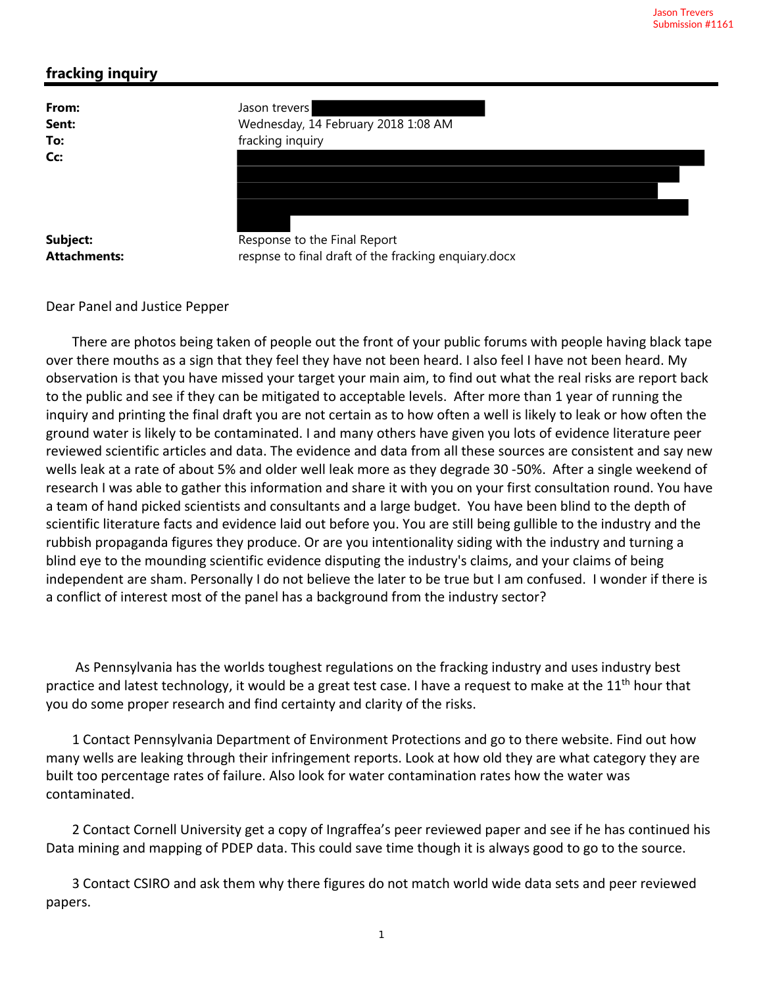## **fracking inquiry**

| From:               | Jason trevers                                        |
|---------------------|------------------------------------------------------|
| Sent:               | Wednesday, 14 February 2018 1:08 AM                  |
| To:                 | fracking inquiry                                     |
| Cc:                 |                                                      |
| Subject:            | Response to the Final Report                         |
| <b>Attachments:</b> | respnse to final draft of the fracking enquiary.docx |

Dear Panel and Justice Pepper

There are photos being taken of people out the front of your public forums with people having black tape over there mouths as a sign that they feel they have not been heard. I also feel I have not been heard. My observation is that you have missed your target your main aim, to find out what the real risks are report back to the public and see if they can be mitigated to acceptable levels. After more than 1 year of running the inquiry and printing the final draft you are not certain as to how often a well is likely to leak or how often the ground water is likely to be contaminated. I and many others have given you lots of evidence literature peer reviewed scientific articles and data. The evidence and data from all these sources are consistent and say new wells leak at a rate of about 5% and older well leak more as they degrade 30 ‐50%. After a single weekend of research I was able to gather this information and share it with you on your first consultation round. You have a team of hand picked scientists and consultants and a large budget. You have been blind to the depth of scientific literature facts and evidence laid out before you. You are still being gullible to the industry and the rubbish propaganda figures they produce. Or are you intentionality siding with the industry and turning a blind eye to the mounding scientific evidence disputing the industry's claims, and your claims of being independent are sham. Personally I do not believe the later to be true but I am confused. I wonder if there is a conflict of interest most of the panel has a background from the industry sector?

As Pennsylvania has the worlds toughest regulations on the fracking industry and uses industry best practice and latest technology, it would be a great test case. I have a request to make at the 11<sup>th</sup> hour that you do some proper research and find certainty and clarity of the risks.

1 Contact Pennsylvania Department of Environment Protections and go to there website. Find out how many wells are leaking through their infringement reports. Look at how old they are what category they are built too percentage rates of failure. Also look for water contamination rates how the water was contaminated.

2 Contact Cornell University get a copy of Ingraffea's peer reviewed paper and see if he has continued his Data mining and mapping of PDEP data. This could save time though it is always good to go to the source.

3 Contact CSIRO and ask them why there figures do not match world wide data sets and peer reviewed papers.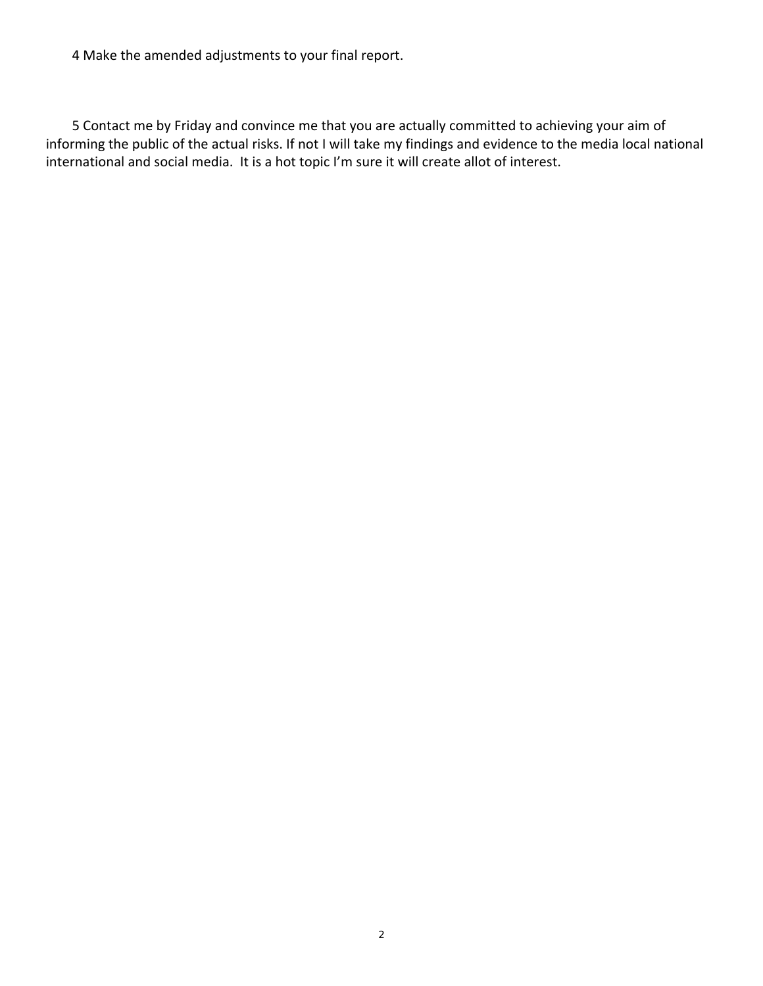4 Make the amended adjustments to your final report.

5 Contact me by Friday and convince me that you are actually committed to achieving your aim of informing the public of the actual risks. If not I will take my findings and evidence to the media local national international and social media. It is a hot topic I'm sure it will create allot of interest.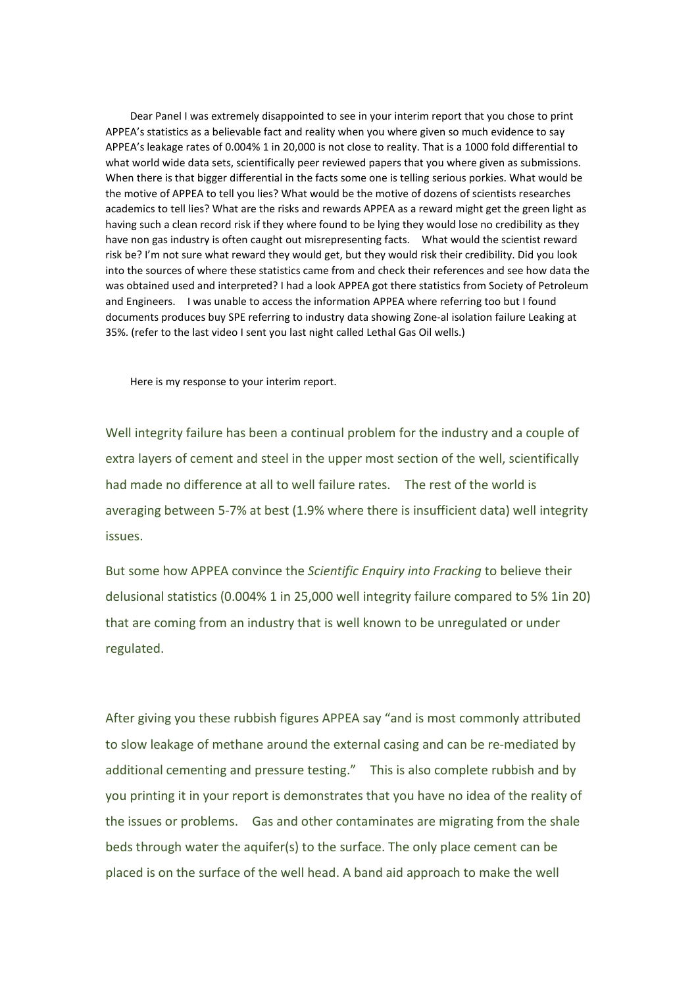Dear Panel I was extremely disappointed to see in your interim report that you chose to print APPEA's statistics as a believable fact and reality when you where given so much evidence to say APPEA's leakage rates of 0.004% 1 in 20,000 is not close to reality. That is a 1000 fold differential to what world wide data sets, scientifically peer reviewed papers that you where given as submissions. When there is that bigger differential in the facts some one is telling serious porkies. What would be the motive of APPEA to tell you lies? What would be the motive of dozens of scientists researches academics to tell lies? What are the risks and rewards APPEA as a reward might get the green light as having such a clean record risk if they where found to be lying they would lose no credibility as they have non gas industry is often caught out misrepresenting facts. What would the scientist reward risk be? I'm not sure what reward they would get, but they would risk their credibility. Did you look into the sources of where these statistics came from and check their references and see how data the was obtained used and interpreted? I had a look APPEA got there statistics from Society of Petroleum and Engineers. I was unable to access the information APPEA where referring too but I found documents produces buy SPE referring to industry data showing Zone-al isolation failure Leaking at 35%. (refer to the last video I sent you last night called Lethal Gas Oil wells.)

Here is my response to your interim report.

Well integrity failure has been a continual problem for the industry and a couple of extra layers of cement and steel in the upper most section of the well, scientifically had made no difference at all to well failure rates. The rest of the world is averaging between 5-7% at best (1.9% where there is insufficient data) well integrity issues.

But some how APPEA convince the *Scientific Enquiry into Fracking* to believe their delusional statistics (0.004% 1 in 25,000 well integrity failure compared to 5% 1in 20) that are coming from an industry that is well known to be unregulated or under regulated.

After giving you these rubbish figures APPEA say "and is most commonly attributed to slow leakage of methane around the external casing and can be re-mediated by additional cementing and pressure testing." This is also complete rubbish and by you printing it in your report is demonstrates that you have no idea of the reality of the issues or problems. Gas and other contaminates are migrating from the shale beds through water the aquifer(s) to the surface. The only place cement can be placed is on the surface of the well head. A band aid approach to make the well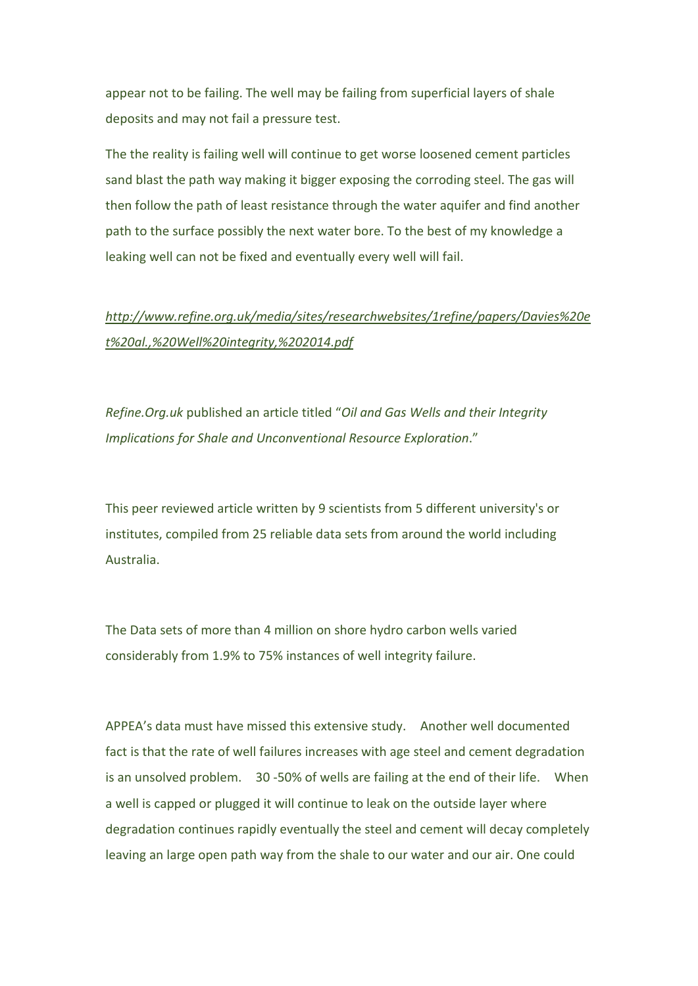appear not to be failing. The well may be failing from superficial layers of shale deposits and may not fail a pressure test.

The the reality is failing well will continue to get worse loosened cement particles sand blast the path way making it bigger exposing the corroding steel. The gas will then follow the path of least resistance through the water aquifer and find another path to the surface possibly the next water bore. To the best of my knowledge a leaking well can not be fixed and eventually every well will fail.

# *http://www.refine.org.uk/media/sites/researchwebsites/1refine/papers/Davies%20e t%20al.,%20Well%20integrity,%202014.pdf*

*Refine.Org.uk* published an article titled "*Oil and Gas Wells and their Integrity Implications for Shale and Unconventional Resource Exploration*."

This peer reviewed article written by 9 scientists from 5 different university's or institutes, compiled from 25 reliable data sets from around the world including Australia.

The Data sets of more than 4 million on shore hydro carbon wells varied considerably from 1.9% to 75% instances of well integrity failure.

APPEA's data must have missed this extensive study. Another well documented fact is that the rate of well failures increases with age steel and cement degradation is an unsolved problem. 30 -50% of wells are failing at the end of their life. When a well is capped or plugged it will continue to leak on the outside layer where degradation continues rapidly eventually the steel and cement will decay completely leaving an large open path way from the shale to our water and our air. One could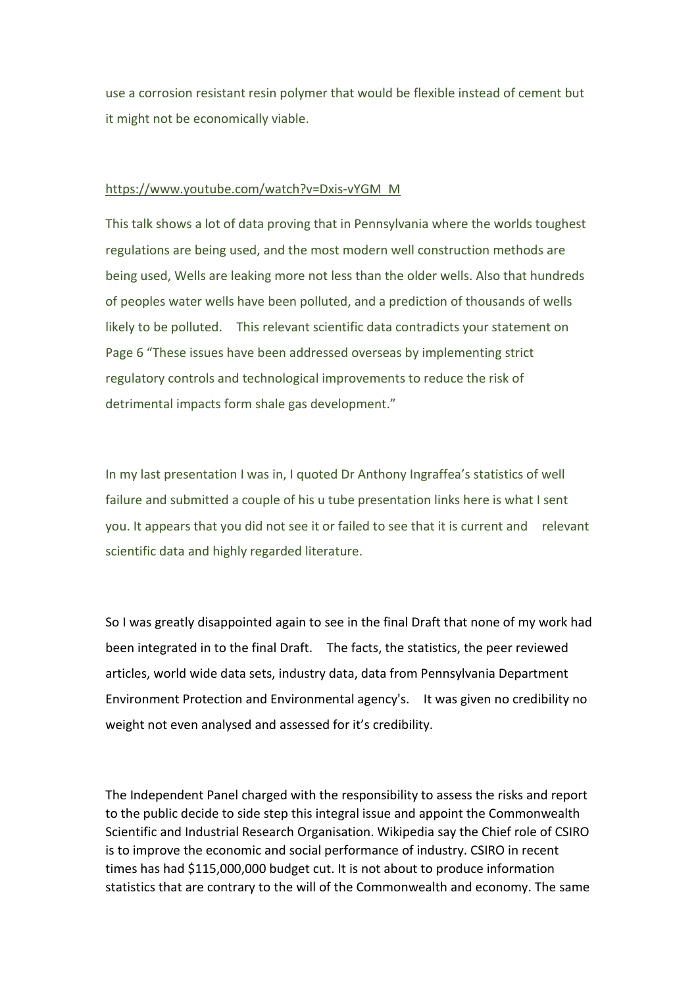use a corrosion resistant resin polymer that would be flexible instead of cement but it might not be economically viable.

### https://www.youtube.com/watch?v=Dxis-vYGM M

This talk shows a lot of data proving that in Pennsylvania where the worlds toughest regulations are being used, and the most modern well construction methods are being used, Wells are leaking more not less than the older wells. Also that hundreds of peoples water wells have been polluted, and a prediction of thousands of wells likely to be polluted. This relevant scientific data contradicts your statement on Page 6 "These issues have been addressed overseas by implementing strict regulatory controls and technological improvements to reduce the risk of detrimental impacts form shale gas development."

In my last presentation I was in, I quoted Dr Anthony Ingraffea's statistics of well failure and submitted a couple of his u tube presentation links here is what I sent you. It appears that you did not see it or failed to see that it is current and relevant scientific data and highly regarded literature.

So I was greatly disappointed again to see in the final Draft that none of my work had been integrated in to the final Draft. The facts, the statistics, the peer reviewed articles, world wide data sets, industry data, data from Pennsylvania Department Environment Protection and Environmental agency's. It was given no credibility no weight not even analysed and assessed for it's credibility.

The Independent Panel charged with the responsibility to assess the risks and report to the public decide to side step this integral issue and appoint the Commonwealth Scientific and Industrial Research Organisation. Wikipedia say the Chief role of CSIRO is to improve the economic and social performance of industry. CSIRO in recent times has had \$115,000,000 budget cut. It is not about to produce information statistics that are contrary to the will of the Commonwealth and economy. The same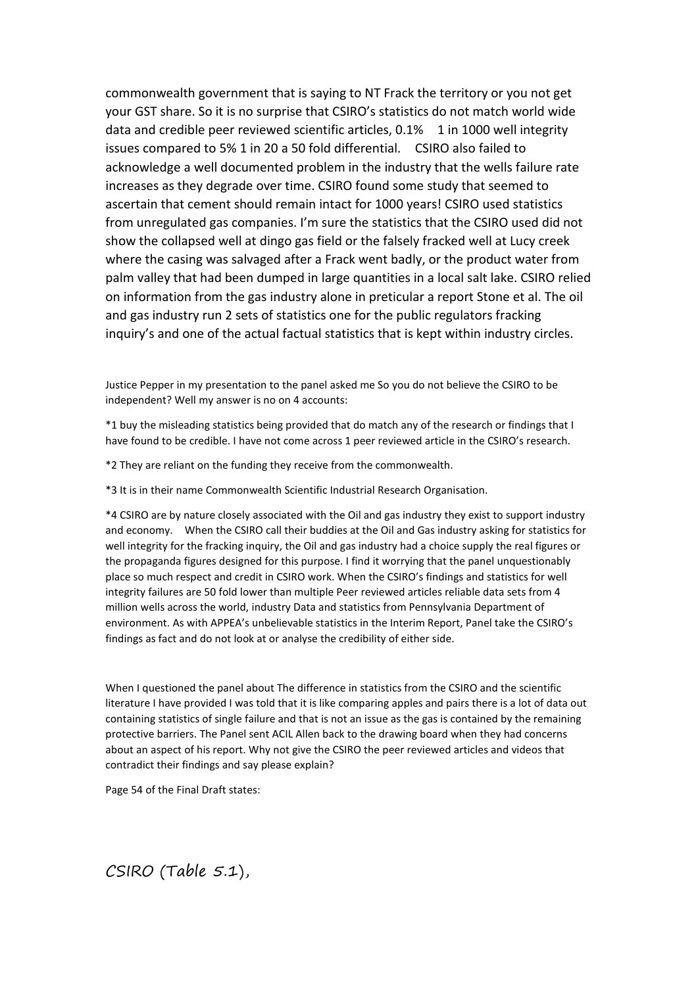commonwealth government that is saying to NT Frack the territory or you not get your GST share. So it is no surprise that CSIRO's statistics do not match world wide data and credible peer reviewed scientific articles, 0.1% 1 in 1000 well integrity issues compared to 5% 1 in 20 a 50 fold differential. CSIRO also failed to acknowledge a well documented problem in the industry that the wells failure rate increases as they degrade over time. CSIRO found some study that seemed to ascertain that cement should remain intact for 1000 years! CSIRO used statistics from unregulated gas companies. I'm sure the statistics that the CSIRO used did not show the collapsed well at dingo gas field or the falsely fracked well at Lucy creek where the casing was salvaged after a Frack went badly, or the product water from palm valley that had been dumped in large quantities in a local salt lake. CSIRO relied on information from the gas industry alone in preticular a report Stone et al. The oil and gas industry run 2 sets of statistics one for the public regulators fracking inquiry's and one of the actual factual statistics that is kept within industry circles.

Justice Pepper in my presentation to the panel asked me So you do not believe the CSIRO to be independent? Well my answer is no on 4 accounts:

\*1 buy the misleading statistics being provided that do match any of the research or findings that I have found to be credible. I have not come across 1 peer reviewed article in the CSIRO's research.

\*2 They are reliant on the funding they receive from the commonwealth.

\*3 It is in their name Commonwealth Scientific Industrial Research Organisation.

\*4 CSIRO are by nature closely associated with the Oil and gas industry they exist to support industry and economy. When the CSIRO call their buddies at the Oil and Gas industry asking for statistics for well integrity for the fracking inquiry, the Oil and gas industry had a choice supply the real figures or the propaganda figures designed for this purpose. I find it worrying that the panel unquestionably place so much respect and credit in CSIRO work. When the CSIRO's findings and statistics for well integrity failures are 50 fold lower than multiple Peer reviewed articles reliable data sets from 4 million wells across the world, industry Data and statistics from Pennsylvania Department of environment. As with APPEA's unbelievable statistics in the Interim Report, Panel take the CSIRO's findings as fact and do not look at or analyse the credibility of either side.

When I questioned the panel about The difference in statistics from the CSIRO and the scientific literature I have provided I was told that it is like comparing apples and pairs there is a lot of data out containing statistics of single failure and that is not an issue as the gas is contained by the remaining protective barriers. The Panel sent ACIL Allen back to the drawing board when they had concerns about an aspect of his report. Why not give the CSIRO the peer reviewed articles and videos that contradict their findings and say please explain?

Page 54 of the Final Draft states:

CSIRO (Table 5.1),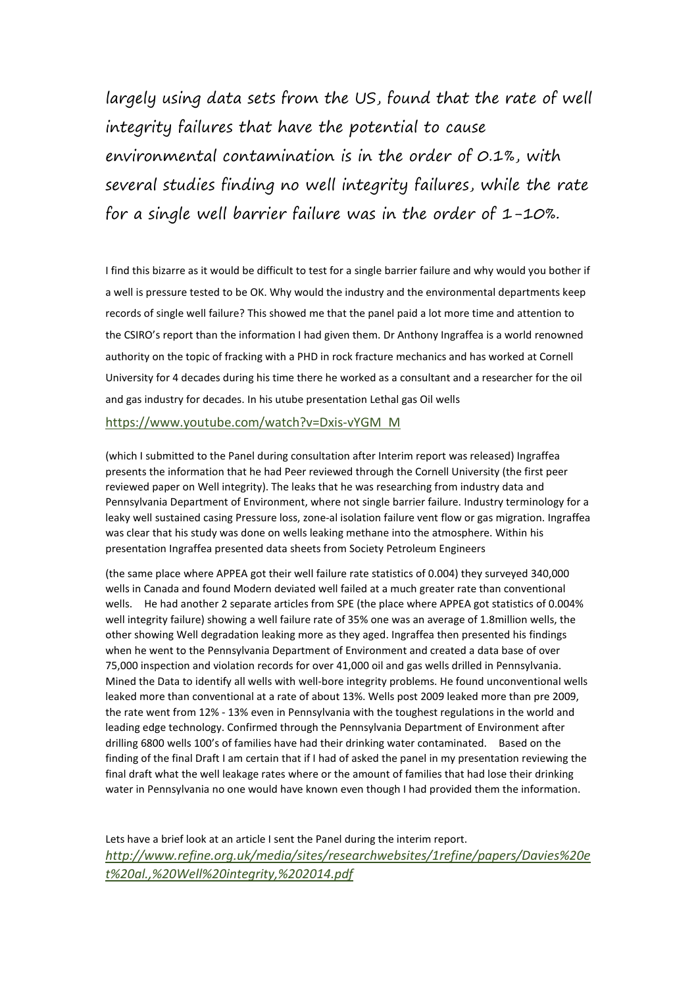largely using data sets from the US, found that the rate of well integrity failures that have the potential to cause environmental contamination is in the order of 0.1%, with several studies finding no well integrity failures, while the rate for a single well barrier failure was in the order of  $1-10\%$ .

I find this bizarre as it would be difficult to test for a single barrier failure and why would you bother if a well is pressure tested to be OK. Why would the industry and the environmental departments keep records of single well failure? This showed me that the panel paid a lot more time and attention to the CSIRO's report than the information I had given them. Dr Anthony Ingraffea is a world renowned authority on the topic of fracking with a PHD in rock fracture mechanics and has worked at Cornell University for 4 decades during his time there he worked as a consultant and a researcher for the oil and gas industry for decades. In his utube presentation Lethal gas Oil wells

https://www.youtube.com/watch?v=Dxis-vYGM M

(which I submitted to the Panel during consultation after Interim report was released) Ingraffea presents the information that he had Peer reviewed through the Cornell University (the first peer reviewed paper on Well integrity). The leaks that he was researching from industry data and Pennsylvania Department of Environment, where not single barrier failure. Industry terminology for a leaky well sustained casing Pressure loss, zone-al isolation failure vent flow or gas migration. Ingraffea was clear that his study was done on wells leaking methane into the atmosphere. Within his presentation Ingraffea presented data sheets from Society Petroleum Engineers

(the same place where APPEA got their well failure rate statistics of 0.004) they surveyed 340,000 wells in Canada and found Modern deviated well failed at a much greater rate than conventional wells. He had another 2 separate articles from SPE (the place where APPEA got statistics of 0.004% well integrity failure) showing a well failure rate of 35% one was an average of 1.8million wells, the other showing Well degradation leaking more as they aged. Ingraffea then presented his findings when he went to the Pennsylvania Department of Environment and created a data base of over 75,000 inspection and violation records for over 41,000 oil and gas wells drilled in Pennsylvania. Mined the Data to identify all wells with well-bore integrity problems. He found unconventional wells leaked more than conventional at a rate of about 13%. Wells post 2009 leaked more than pre 2009, the rate went from 12% - 13% even in Pennsylvania with the toughest regulations in the world and leading edge technology. Confirmed through the Pennsylvania Department of Environment after drilling 6800 wells 100's of families have had their drinking water contaminated. Based on the finding of the final Draft I am certain that if I had of asked the panel in my presentation reviewing the final draft what the well leakage rates where or the amount of families that had lose their drinking water in Pennsylvania no one would have known even though I had provided them the information.

Lets have a brief look at an article I sent the Panel during the interim report. *http://www.refine.org.uk/media/sites/researchwebsites/1refine/papers/Davies%20e t%20al.,%20Well%20integrity,%202014.pdf*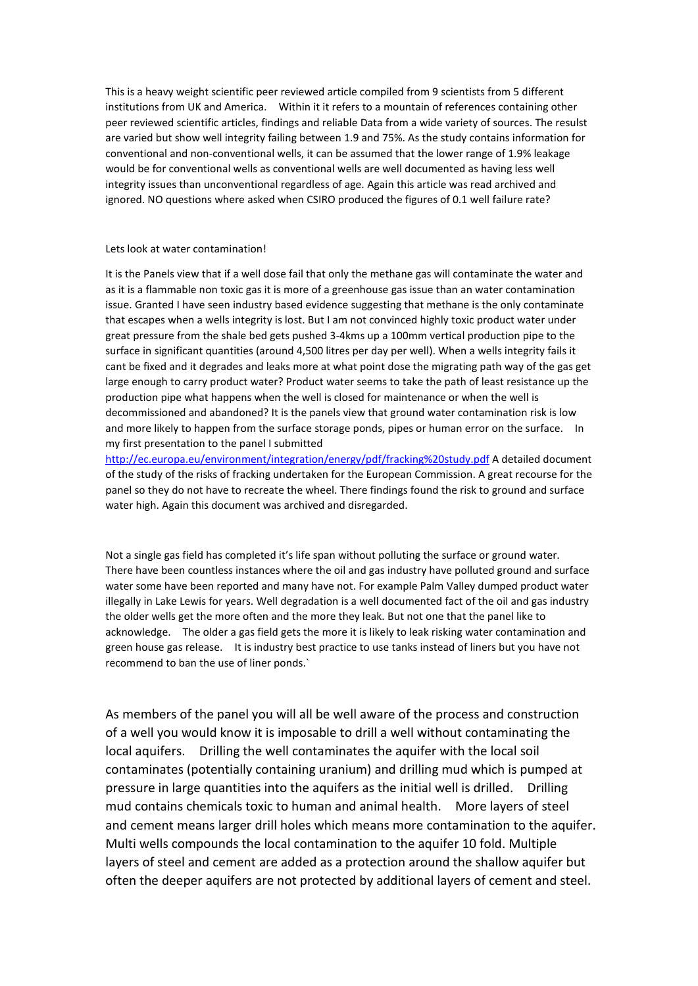This is a heavy weight scientific peer reviewed article compiled from 9 scientists from 5 different institutions from UK and America. Within it it refers to a mountain of references containing other peer reviewed scientific articles, findings and reliable Data from a wide variety of sources. The resulst are varied but show well integrity failing between 1.9 and 75%. As the study contains information for conventional and non-conventional wells, it can be assumed that the lower range of 1.9% leakage would be for conventional wells as conventional wells are well documented as having less well integrity issues than unconventional regardless of age. Again this article was read archived and ignored. NO questions where asked when CSIRO produced the figures of 0.1 well failure rate?

#### Lets look at water contamination!

It is the Panels view that if a well dose fail that only the methane gas will contaminate the water and as it is a flammable non toxic gas it is more of a greenhouse gas issue than an water contamination issue. Granted I have seen industry based evidence suggesting that methane is the only contaminate that escapes when a wells integrity is lost. But I am not convinced highly toxic product water under great pressure from the shale bed gets pushed 3-4kms up a 100mm vertical production pipe to the surface in significant quantities (around 4,500 litres per day per well). When a wells integrity fails it cant be fixed and it degrades and leaks more at what point dose the migrating path way of the gas get large enough to carry product water? Product water seems to take the path of least resistance up the production pipe what happens when the well is closed for maintenance or when the well is decommissioned and abandoned? It is the panels view that ground water contamination risk is low and more likely to happen from the surface storage ponds, pipes or human error on the surface. In my first presentation to the panel I submitted

http://ec.europa.eu/environment/integration/energy/pdf/fracking%20study.pdf A detailed document of the study of the risks of fracking undertaken for the European Commission. A great recourse for the panel so they do not have to recreate the wheel. There findings found the risk to ground and surface water high. Again this document was archived and disregarded.

Not a single gas field has completed it's life span without polluting the surface or ground water. There have been countless instances where the oil and gas industry have polluted ground and surface water some have been reported and many have not. For example Palm Valley dumped product water illegally in Lake Lewis for years. Well degradation is a well documented fact of the oil and gas industry the older wells get the more often and the more they leak. But not one that the panel like to acknowledge. The older a gas field gets the more it is likely to leak risking water contamination and green house gas release. It is industry best practice to use tanks instead of liners but you have not recommend to ban the use of liner ponds.`

As members of the panel you will all be well aware of the process and construction of a well you would know it is imposable to drill a well without contaminating the local aquifers. Drilling the well contaminates the aquifer with the local soil contaminates (potentially containing uranium) and drilling mud which is pumped at pressure in large quantities into the aquifers as the initial well is drilled. Drilling mud contains chemicals toxic to human and animal health. More layers of steel and cement means larger drill holes which means more contamination to the aquifer. Multi wells compounds the local contamination to the aquifer 10 fold. Multiple layers of steel and cement are added as a protection around the shallow aquifer but often the deeper aquifers are not protected by additional layers of cement and steel.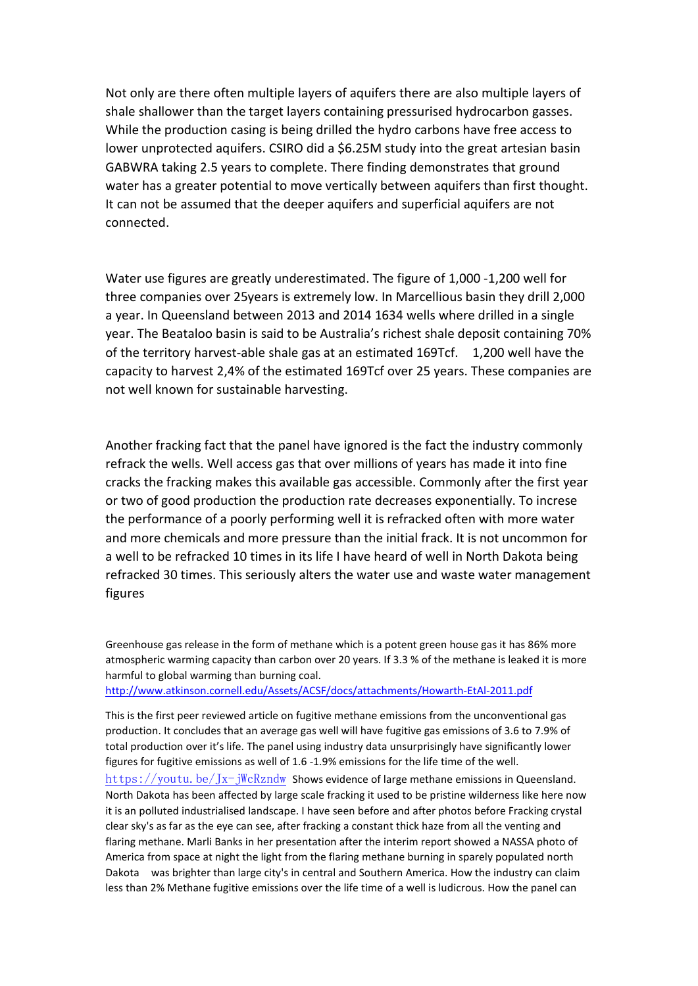Not only are there often multiple layers of aquifers there are also multiple layers of shale shallower than the target layers containing pressurised hydrocarbon gasses. While the production casing is being drilled the hydro carbons have free access to lower unprotected aquifers. CSIRO did a \$6.25M study into the great artesian basin GABWRA taking 2.5 years to complete. There finding demonstrates that ground water has a greater potential to move vertically between aquifers than first thought. It can not be assumed that the deeper aquifers and superficial aquifers are not connected.

Water use figures are greatly underestimated. The figure of 1,000 -1,200 well for three companies over 25years is extremely low. In Marcellious basin they drill 2,000 a year. In Queensland between 2013 and 2014 1634 wells where drilled in a single year. The Beataloo basin is said to be Australia's richest shale deposit containing 70% of the territory harvest-able shale gas at an estimated 169Tcf. 1,200 well have the capacity to harvest 2,4% of the estimated 169Tcf over 25 years. These companies are not well known for sustainable harvesting.

Another fracking fact that the panel have ignored is the fact the industry commonly refrack the wells. Well access gas that over millions of years has made it into fine cracks the fracking makes this available gas accessible. Commonly after the first year or two of good production the production rate decreases exponentially. To increse the performance of a poorly performing well it is refracked often with more water and more chemicals and more pressure than the initial frack. It is not uncommon for a well to be refracked 10 times in its life I have heard of well in North Dakota being refracked 30 times. This seriously alters the water use and waste water management figures

Greenhouse gas release in the form of methane which is a potent green house gas it has 86% more atmospheric warming capacity than carbon over 20 years. If 3.3 % of the methane is leaked it is more harmful to global warming than burning coal.

http://www.atkinson.cornell.edu/Assets/ACSF/docs/attachments/Howarth-EtAl-2011.pdf

This is the first peer reviewed article on fugitive methane emissions from the unconventional gas production. It concludes that an average gas well will have fugitive gas emissions of 3.6 to 7.9% of total production over it's life. The panel using industry data unsurprisingly have significantly lower figures for fugitive emissions as well of 1.6 -1.9% emissions for the life time of the well.

https://youtu.be/Jx-jWcRzndw Shows evidence of large methane emissions in Queensland. North Dakota has been affected by large scale fracking it used to be pristine wilderness like here now it is an polluted industrialised landscape. I have seen before and after photos before Fracking crystal clear sky's as far as the eye can see, after fracking a constant thick haze from all the venting and flaring methane. Marli Banks in her presentation after the interim report showed a NASSA photo of America from space at night the light from the flaring methane burning in sparely populated north Dakota was brighter than large city's in central and Southern America. How the industry can claim less than 2% Methane fugitive emissions over the life time of a well is ludicrous. How the panel can